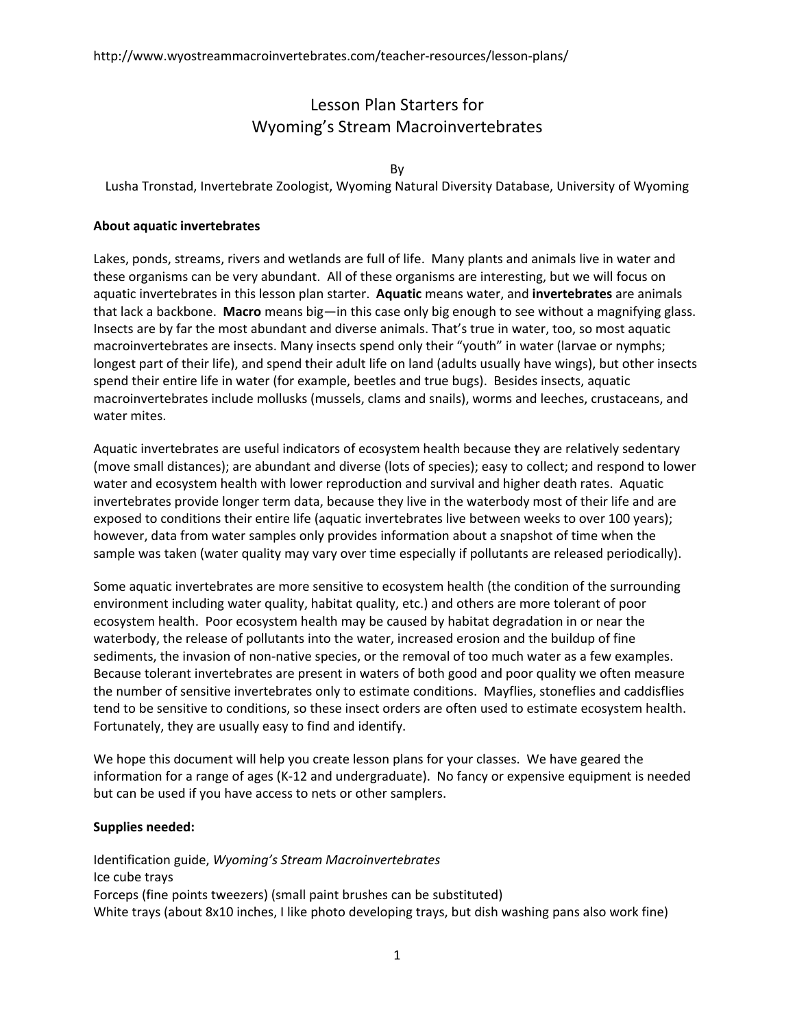# Lesson Plan Starters for Wyoming's Stream Macroinvertebrates

#### By

Lusha Tronstad, Invertebrate Zoologist, Wyoming Natural Diversity Database, University of Wyoming

### **About aquatic invertebrates**

Lakes, ponds, streams, rivers and wetlands are full of life. Many plants and animals live in water and these organisms can be very abundant. All of these organisms are interesting, but we will focus on aquatic invertebrates in this lesson plan starter. **Aquatic** means water, and **invertebrates** are animals that lack a backbone. **Macro** means big—in this case only big enough to see without a magnifying glass. Insects are by far the most abundant and diverse animals. That's true in water, too, so most aquatic macroinvertebrates are insects. Many insects spend only their "youth" in water (larvae or nymphs; longest part of their life), and spend their adult life on land (adults usually have wings), but other insects spend their entire life in water (for example, beetles and true bugs). Besides insects, aquatic macroinvertebrates include mollusks (mussels, clams and snails), worms and leeches, crustaceans, and water mites.

Aquatic invertebrates are useful indicators of ecosystem health because they are relatively sedentary (move small distances); are abundant and diverse (lots of species); easy to collect; and respond to lower water and ecosystem health with lower reproduction and survival and higher death rates. Aquatic invertebrates provide longer term data, because they live in the waterbody most of their life and are exposed to conditions their entire life (aquatic invertebrates live between weeks to over 100 years); however, data from water samples only provides information about a snapshot of time when the sample was taken (water quality may vary over time especially if pollutants are released periodically).

Some aquatic invertebrates are more sensitive to ecosystem health (the condition of the surrounding environment including water quality, habitat quality, etc.) and others are more tolerant of poor ecosystem health. Poor ecosystem health may be caused by habitat degradation in or near the waterbody, the release of pollutants into the water, increased erosion and the buildup of fine sediments, the invasion of non-native species, or the removal of too much water as a few examples. Because tolerant invertebrates are present in waters of both good and poor quality we often measure the number of sensitive invertebrates only to estimate conditions. Mayflies, stoneflies and caddisflies tend to be sensitive to conditions, so these insect orders are often used to estimate ecosystem health. Fortunately, they are usually easy to find and identify.

We hope this document will help you create lesson plans for your classes. We have geared the information for a range of ages (K‐12 and undergraduate). No fancy or expensive equipment is needed but can be used if you have access to nets or other samplers.

#### **Supplies needed:**

Identification guide, *Wyoming's Stream Macroinvertebrates* Ice cube trays Forceps (fine points tweezers) (small paint brushes can be substituted) White trays (about 8x10 inches, I like photo developing trays, but dish washing pans also work fine)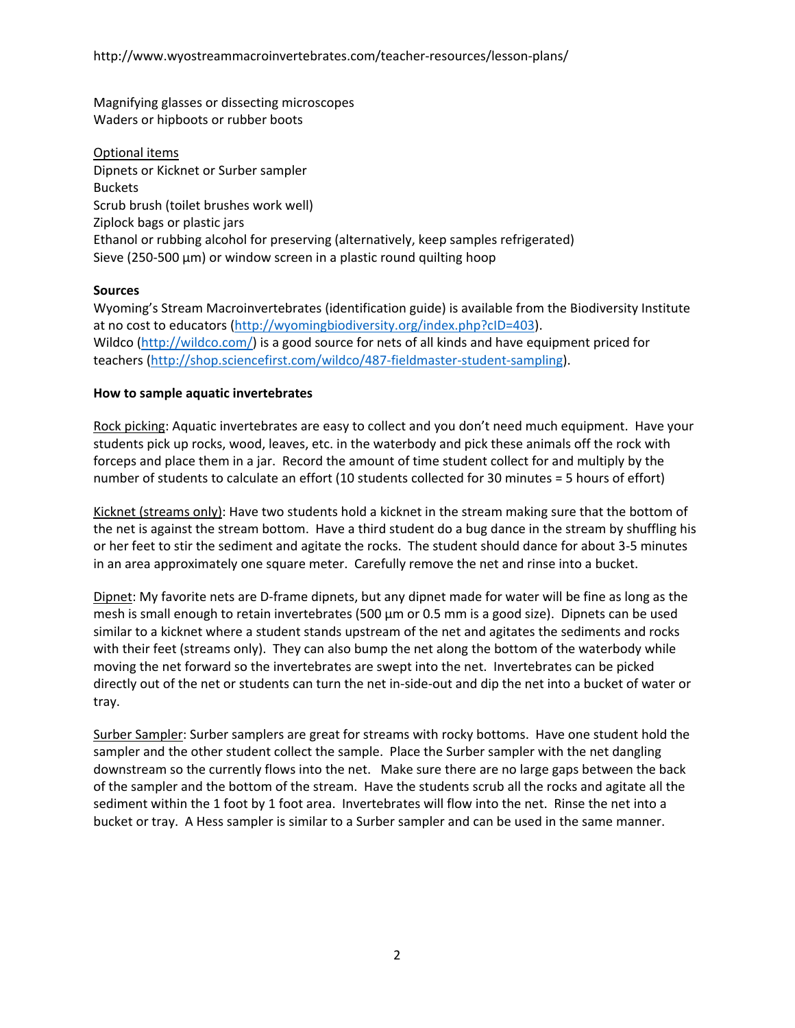Magnifying glasses or dissecting microscopes Waders or hipboots or rubber boots

Optional items Dipnets or Kicknet or Surber sampler Buckets Scrub brush (toilet brushes work well) Ziplock bags or plastic jars Ethanol or rubbing alcohol for preserving (alternatively, keep samples refrigerated) Sieve (250‐500 µm) or window screen in a plastic round quilting hoop

# **Sources**

Wyoming's Stream Macroinvertebrates (identification guide) is available from the Biodiversity Institute at no cost to educators (http://wyomingbiodiversity.org/index.php?cID=403). Wildco (http://wildco.com/) is a good source for nets of all kinds and have equipment priced for teachers (http://shop.sciencefirst.com/wildco/487‐fieldmaster‐student‐sampling).

### **How to sample aquatic invertebrates**

Rock picking: Aquatic invertebrates are easy to collect and you don't need much equipment. Have your students pick up rocks, wood, leaves, etc. in the waterbody and pick these animals off the rock with forceps and place them in a jar. Record the amount of time student collect for and multiply by the number of students to calculate an effort (10 students collected for 30 minutes = 5 hours of effort)

Kicknet (streams only): Have two students hold a kicknet in the stream making sure that the bottom of the net is against the stream bottom. Have a third student do a bug dance in the stream by shuffling his or her feet to stir the sediment and agitate the rocks. The student should dance for about 3‐5 minutes in an area approximately one square meter. Carefully remove the net and rinse into a bucket.

Dipnet: My favorite nets are D-frame dipnets, but any dipnet made for water will be fine as long as the mesh is small enough to retain invertebrates (500  $\mu$ m or 0.5 mm is a good size). Dipnets can be used similar to a kicknet where a student stands upstream of the net and agitates the sediments and rocks with their feet (streams only). They can also bump the net along the bottom of the waterbody while moving the net forward so the invertebrates are swept into the net. Invertebrates can be picked directly out of the net or students can turn the net in‐side‐out and dip the net into a bucket of water or tray.

Surber Sampler: Surber samplers are great for streams with rocky bottoms. Have one student hold the sampler and the other student collect the sample. Place the Surber sampler with the net dangling downstream so the currently flows into the net. Make sure there are no large gaps between the back of the sampler and the bottom of the stream. Have the students scrub all the rocks and agitate all the sediment within the 1 foot by 1 foot area. Invertebrates will flow into the net. Rinse the net into a bucket or tray. A Hess sampler is similar to a Surber sampler and can be used in the same manner.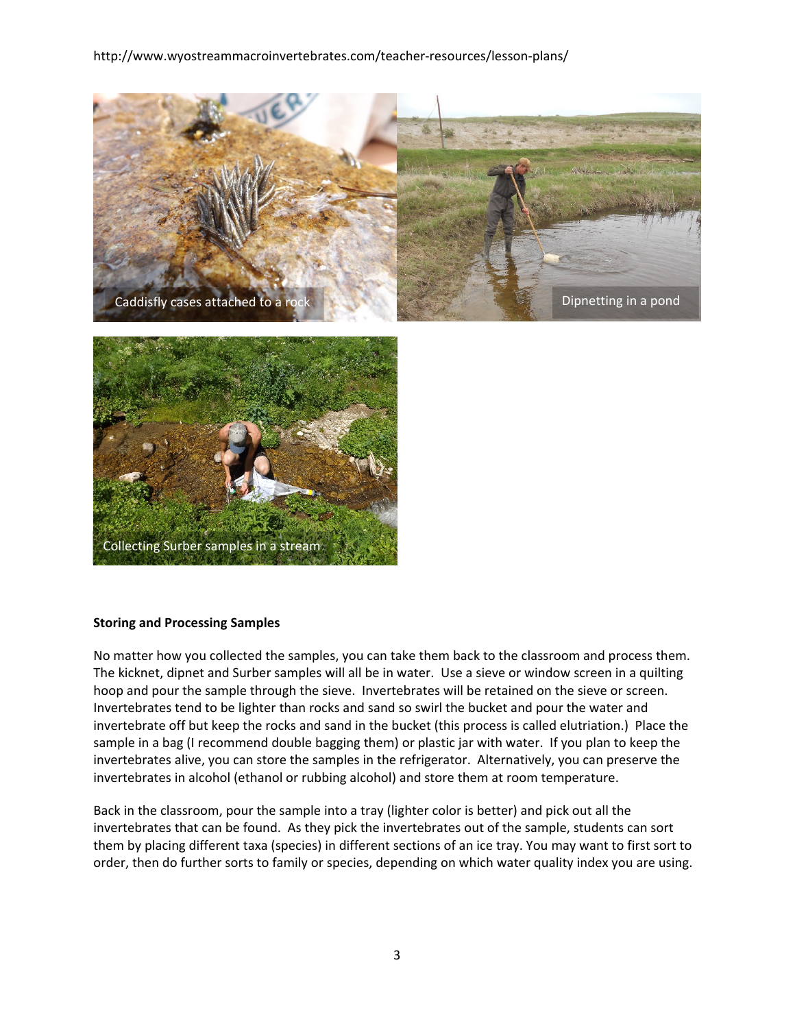## http://www.wyostreammacroinvertebrates.com/teacher-resources/lesson-plans/





#### **Storing and Processing Samples**

No matter how you collected the samples, you can take them back to the classroom and process them. The kicknet, dipnet and Surber samples will all be in water. Use a sieve or window screen in a quilting hoop and pour the sample through the sieve. Invertebrates will be retained on the sieve or screen. Invertebrates tend to be lighter than rocks and sand so swirl the bucket and pour the water and invertebrate off but keep the rocks and sand in the bucket (this process is called elutriation.) Place the sample in a bag (I recommend double bagging them) or plastic jar with water. If you plan to keep the invertebrates alive, you can store the samples in the refrigerator. Alternatively, you can preserve the invertebrates in alcohol (ethanol or rubbing alcohol) and store them at room temperature.

Back in the classroom, pour the sample into a tray (lighter color is better) and pick out all the invertebrates that can be found. As they pick the invertebrates out of the sample, students can sort them by placing different taxa (species) in different sections of an ice tray. You may want to first sort to order, then do further sorts to family or species, depending on which water quality index you are using.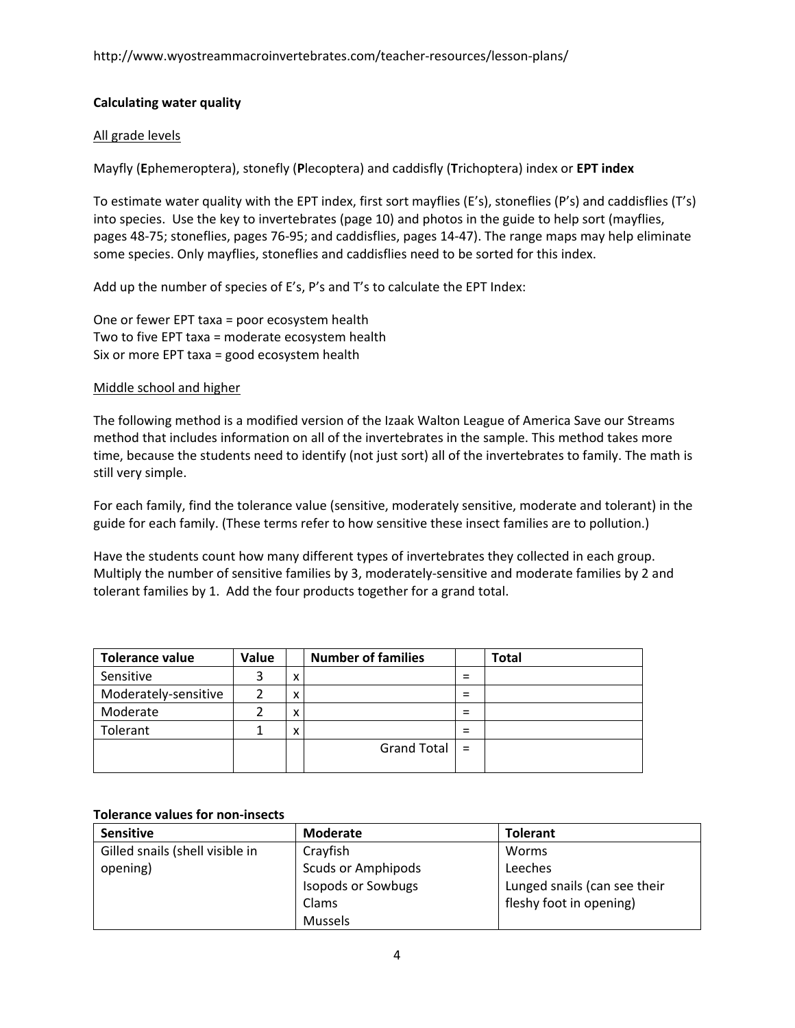# **Calculating water quality**

# All grade levels

Mayfly (**E**phemeroptera), stonefly (**P**lecoptera) and caddisfly (**T**richoptera) index or **EPT index**

To estimate water quality with the EPT index, first sort mayflies (E's), stoneflies (P's) and caddisflies (T's) into species. Use the key to invertebrates (page 10) and photos in the guide to help sort (mayflies, pages 48‐75; stoneflies, pages 76‐95; and caddisflies, pages 14‐47). The range maps may help eliminate some species. Only mayflies, stoneflies and caddisflies need to be sorted for this index.

Add up the number of species of E's, P's and T's to calculate the EPT Index:

One or fewer EPT taxa = poor ecosystem health Two to five EPT taxa = moderate ecosystem health Six or more EPT taxa = good ecosystem health

## Middle school and higher

The following method is a modified version of the Izaak Walton League of America Save our Streams method that includes information on all of the invertebrates in the sample. This method takes more time, because the students need to identify (not just sort) all of the invertebrates to family. The math is still very simple.

For each family, find the tolerance value (sensitive, moderately sensitive, moderate and tolerant) in the guide for each family. (These terms refer to how sensitive these insect families are to pollution.)

Have the students count how many different types of invertebrates they collected in each group. Multiply the number of sensitive families by 3, moderately-sensitive and moderate families by 2 and tolerant families by 1. Add the four products together for a grand total.

| <b>Tolerance value</b> | Value |   | <b>Number of families</b> |   | <b>Total</b> |
|------------------------|-------|---|---------------------------|---|--------------|
| Sensitive              | 3     | x |                           | = |              |
| Moderately-sensitive   | າ     | v |                           | = |              |
| Moderate               |       | x |                           | = |              |
| Tolerant               |       | x |                           | = |              |
|                        |       |   | Grand Total $\vert$ =     |   |              |

### **Tolerance values for non‐insects**

| <b>Sensitive</b>                | <b>Moderate</b>           | <b>Tolerant</b>              |
|---------------------------------|---------------------------|------------------------------|
| Gilled snails (shell visible in | Crayfish                  | Worms                        |
| opening)                        | <b>Scuds or Amphipods</b> | Leeches                      |
|                                 | <b>Isopods or Sowbugs</b> | Lunged snails (can see their |
|                                 | Clams                     | fleshy foot in opening)      |
|                                 | <b>Mussels</b>            |                              |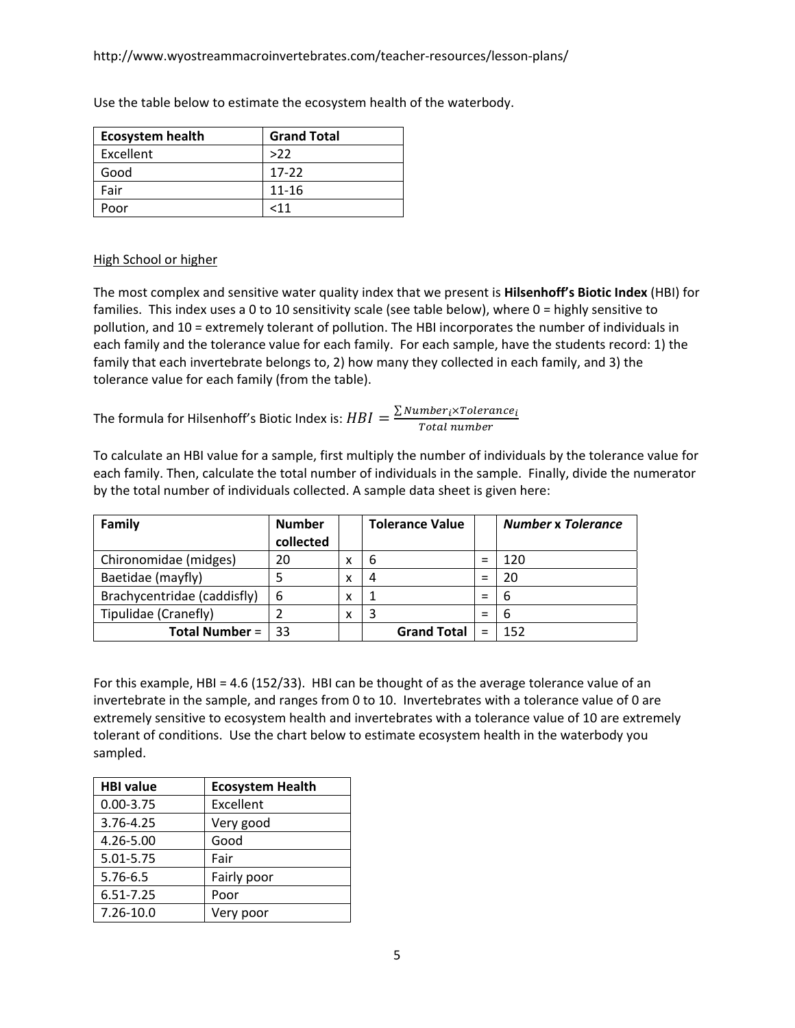| <b>Ecosystem health</b> | <b>Grand Total</b> |
|-------------------------|--------------------|
| Excellent               | $>22$              |
| Good                    | $17-22$            |
| Fair                    | $11 - 16$          |
| Poor                    | 11ح                |

Use the table below to estimate the ecosystem health of the waterbody.

# High School or higher

The most complex and sensitive water quality index that we present is **Hilsenhoff's Biotic Index** (HBI) for families. This index uses a 0 to 10 sensitivity scale (see table below), where 0 = highly sensitive to pollution, and 10 = extremely tolerant of pollution. The HBI incorporates the number of individuals in each family and the tolerance value for each family. For each sample, have the students record: 1) the family that each invertebrate belongs to, 2) how many they collected in each family, and 3) the tolerance value for each family (from the table).

The formula for Hilsenhoff's Biotic Index is:  $HBI = \frac{\sum Number_{i} \times Tolerance_{i}}{Total\ number}$ 

To calculate an HBI value for a sample, first multiply the number of individuals by the tolerance value for each family. Then, calculate the total number of individuals in the sample. Finally, divide the numerator by the total number of individuals collected. A sample data sheet is given here:

| Family                      | <b>Number</b><br>collected |   | <b>Tolerance Value</b> |     | <b>Number x Tolerance</b> |
|-----------------------------|----------------------------|---|------------------------|-----|---------------------------|
| Chironomidae (midges)       | 20                         | x | 6                      | $=$ | 120                       |
| Baetidae (mayfly)           |                            | x | 4                      | $=$ | 20                        |
| Brachycentridae (caddisfly) | 6                          | x |                        | $=$ | 6                         |
| Tipulidae (Cranefly)        |                            | x | 3                      | $=$ | -6                        |
| <b>Total Number =</b>       | 33                         |   | <b>Grand Total</b>     | $=$ | 152                       |

For this example, HBI = 4.6 (152/33). HBI can be thought of as the average tolerance value of an invertebrate in the sample, and ranges from 0 to 10. Invertebrates with a tolerance value of 0 are extremely sensitive to ecosystem health and invertebrates with a tolerance value of 10 are extremely tolerant of conditions. Use the chart below to estimate ecosystem health in the waterbody you sampled.

| <b>HBI value</b> | <b>Ecosystem Health</b> |
|------------------|-------------------------|
| $0.00 - 3.75$    | Excellent               |
| 3.76-4.25        | Very good               |
| 4.26-5.00        | Good                    |
| 5.01-5.75        | Fair                    |
| 5.76-6.5         | Fairly poor             |
| 6.51-7.25        | Poor                    |
| 7.26-10.0        | Very poor               |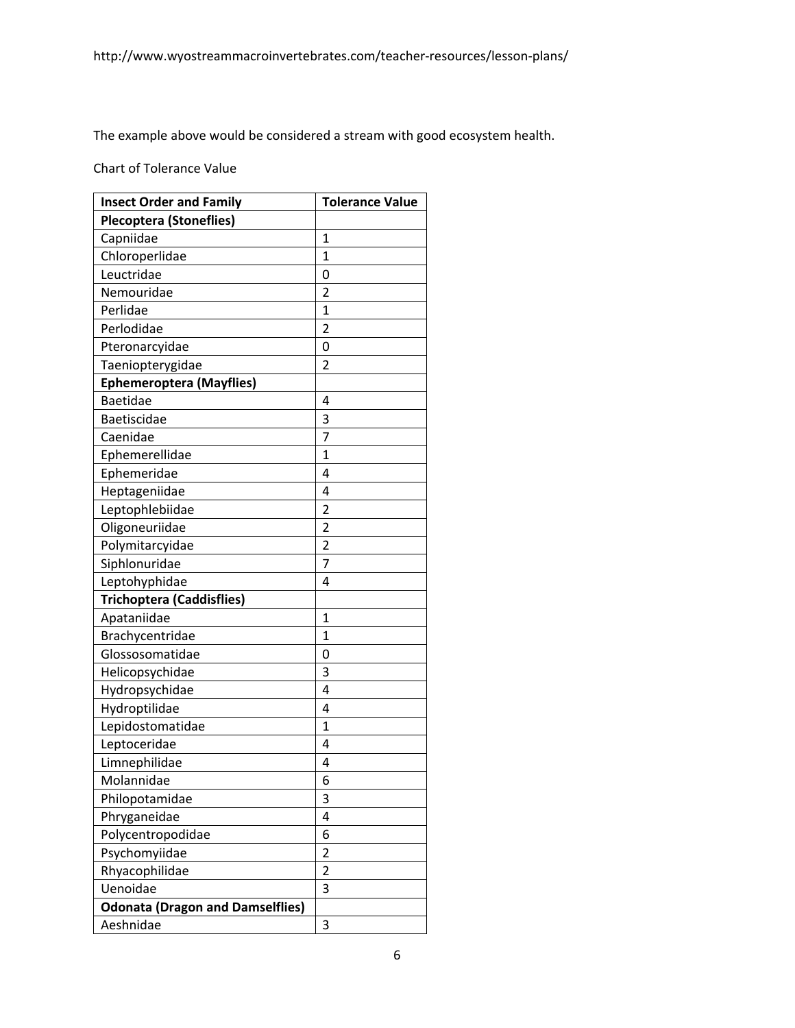The example above would be considered a stream with good ecosystem health.

Chart of Tolerance Value

| <b>Insect Order and Family</b>          | <b>Tolerance Value</b> |  |  |
|-----------------------------------------|------------------------|--|--|
| <b>Plecoptera (Stoneflies)</b>          |                        |  |  |
| Capniidae                               | 1                      |  |  |
| Chloroperlidae                          | 1                      |  |  |
| Leuctridae                              | 0                      |  |  |
| Nemouridae                              | $\overline{2}$         |  |  |
| Perlidae                                | $\mathbf{1}$           |  |  |
| Perlodidae                              | $\overline{2}$         |  |  |
| Pteronarcyidae                          | 0                      |  |  |
| Taeniopterygidae                        | $\overline{2}$         |  |  |
| <b>Ephemeroptera (Mayflies)</b>         |                        |  |  |
| <b>Baetidae</b>                         | 4                      |  |  |
| Baetiscidae                             | 3                      |  |  |
| Caenidae                                | 7                      |  |  |
| Ephemerellidae                          | $\overline{1}$         |  |  |
| Ephemeridae                             | 4                      |  |  |
| Heptageniidae                           | 4                      |  |  |
| Leptophlebiidae                         | 2                      |  |  |
| Oligoneuriidae                          | $\overline{2}$         |  |  |
| Polymitarcyidae                         | $\overline{c}$         |  |  |
| Siphlonuridae                           | 7                      |  |  |
| Leptohyphidae                           | 4                      |  |  |
| <b>Trichoptera (Caddisflies)</b>        |                        |  |  |
| Apataniidae                             | $\mathbf{1}$           |  |  |
| Brachycentridae                         | $\mathbf{1}$           |  |  |
| Glossosomatidae                         | 0                      |  |  |
| Helicopsychidae                         | 3                      |  |  |
| Hydropsychidae                          | 4                      |  |  |
| Hydroptilidae                           | 4                      |  |  |
| Lepidostomatidae                        | $\overline{1}$         |  |  |
| Leptoceridae                            | 4                      |  |  |
| Limnephilidae                           | 4                      |  |  |
| Molannidae                              | 6                      |  |  |
| Philopotamidae                          | 3                      |  |  |
| Phryganeidae                            | 4                      |  |  |
| Polycentropodidae                       | 6                      |  |  |
| Psychomyiidae                           | $\overline{2}$         |  |  |
| Rhyacophilidae                          | 2                      |  |  |
| Uenoidae                                | 3                      |  |  |
| <b>Odonata (Dragon and Damselflies)</b> |                        |  |  |
| Aeshnidae                               | 3                      |  |  |